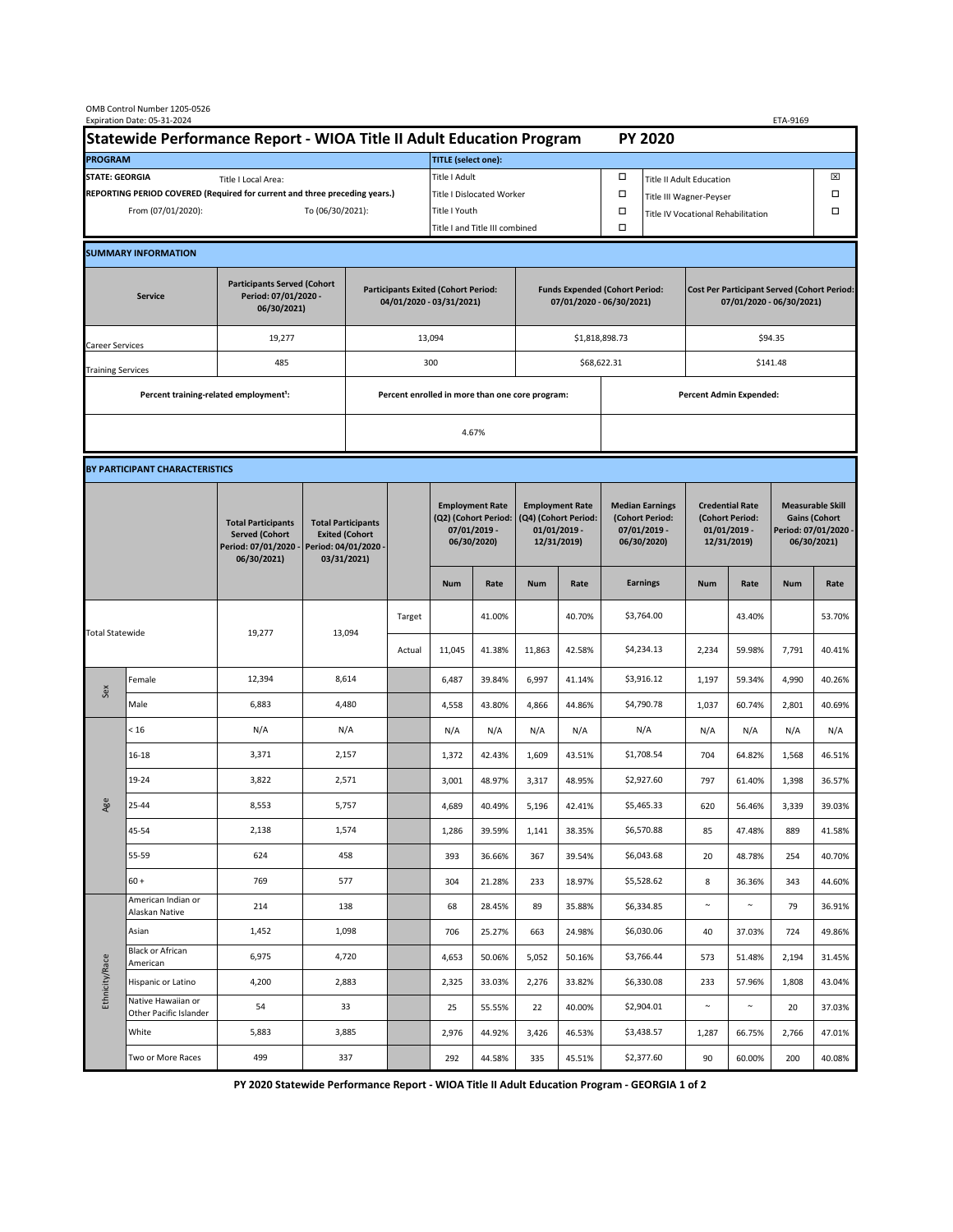| OMB Control Number 1205-0526<br>Expiration Date: 05-31-2024                                 |                                                                      |                                                                                           |                                                                                           |     |                                                   |                                                                               |                                                                   |                                                                                 |        |                                                                            |                                                                                | ETA-9169                                                                   |        |                                                                                        |        |  |
|---------------------------------------------------------------------------------------------|----------------------------------------------------------------------|-------------------------------------------------------------------------------------------|-------------------------------------------------------------------------------------------|-----|---------------------------------------------------|-------------------------------------------------------------------------------|-------------------------------------------------------------------|---------------------------------------------------------------------------------|--------|----------------------------------------------------------------------------|--------------------------------------------------------------------------------|----------------------------------------------------------------------------|--------|----------------------------------------------------------------------------------------|--------|--|
|                                                                                             | Statewide Performance Report - WIOA Title II Adult Education Program |                                                                                           |                                                                                           |     |                                                   |                                                                               |                                                                   |                                                                                 |        |                                                                            | <b>PY 2020</b>                                                                 |                                                                            |        |                                                                                        |        |  |
| <b>PROGRAM</b>                                                                              |                                                                      |                                                                                           |                                                                                           |     |                                                   | <b>TITLE</b> (select one):                                                    |                                                                   |                                                                                 |        |                                                                            |                                                                                |                                                                            |        |                                                                                        |        |  |
| <b>STATE: GEORGIA</b><br>Title I Local Area:                                                |                                                                      |                                                                                           |                                                                                           |     |                                                   | Title I Adult                                                                 |                                                                   |                                                                                 |        | □<br><b>Title II Adult Education</b>                                       |                                                                                |                                                                            |        | ⊠<br>П                                                                                 |        |  |
| REPORTING PERIOD COVERED (Required for current and three preceding years.)                  |                                                                      |                                                                                           |                                                                                           |     | <b>Title I Dislocated Worker</b><br>Title I Youth |                                                                               |                                                                   |                                                                                 | $\Box$ | $\Box$<br>Title III Wagner-Peyser                                          |                                                                                |                                                                            |        |                                                                                        |        |  |
| From (07/01/2020):<br>To (06/30/2021):                                                      |                                                                      |                                                                                           |                                                                                           |     |                                                   | Title I and Title III combined                                                |                                                                   |                                                                                 | $\Box$ |                                                                            | Title IV Vocational Rehabilitation                                             |                                                                            |        | П                                                                                      |        |  |
|                                                                                             | <b>SUMMARY INFORMATION</b>                                           |                                                                                           |                                                                                           |     |                                                   |                                                                               |                                                                   |                                                                                 |        |                                                                            |                                                                                |                                                                            |        |                                                                                        |        |  |
|                                                                                             |                                                                      |                                                                                           |                                                                                           |     |                                                   |                                                                               |                                                                   |                                                                                 |        |                                                                            |                                                                                |                                                                            |        |                                                                                        |        |  |
| <b>Participants Served (Cohort</b><br>Period: 07/01/2020 -<br><b>Service</b><br>06/30/2021) |                                                                      |                                                                                           | <b>Participants Exited (Cohort Period:</b><br>04/01/2020 - 03/31/2021)                    |     |                                                   |                                                                               | <b>Funds Expended (Cohort Period:</b><br>07/01/2020 - 06/30/2021) |                                                                                 |        |                                                                            | <b>Cost Per Participant Served (Cohort Period:</b><br>07/01/2020 - 06/30/2021) |                                                                            |        |                                                                                        |        |  |
| 19,277<br>Career Services                                                                   |                                                                      |                                                                                           | 13,094                                                                                    |     |                                                   |                                                                               | \$1,818,898.73                                                    |                                                                                 |        |                                                                            | \$94.35                                                                        |                                                                            |        |                                                                                        |        |  |
| <b>Training Services</b>                                                                    |                                                                      | 485                                                                                       |                                                                                           | 300 |                                                   |                                                                               |                                                                   | \$68,622.31                                                                     |        |                                                                            | \$141.48                                                                       |                                                                            |        |                                                                                        |        |  |
|                                                                                             | Percent training-related employment <sup>1</sup> :                   |                                                                                           |                                                                                           |     | Percent enrolled in more than one core program:   |                                                                               |                                                                   |                                                                                 |        | <b>Percent Admin Expended:</b>                                             |                                                                                |                                                                            |        |                                                                                        |        |  |
|                                                                                             |                                                                      |                                                                                           |                                                                                           |     |                                                   | 4.67%                                                                         |                                                                   |                                                                                 |        |                                                                            |                                                                                |                                                                            |        |                                                                                        |        |  |
|                                                                                             | BY PARTICIPANT CHARACTERISTICS                                       |                                                                                           |                                                                                           |     |                                                   |                                                                               |                                                                   |                                                                                 |        |                                                                            |                                                                                |                                                                            |        |                                                                                        |        |  |
|                                                                                             |                                                                      | <b>Total Participants</b><br><b>Served (Cohort</b><br>Period: 07/01/2020 -<br>06/30/2021) | <b>Total Participants</b><br><b>Exited (Cohort</b><br>Period: 04/01/2020 -<br>03/31/2021) |     |                                                   | <b>Employment Rate</b><br>(Q2) (Cohort Period:<br>07/01/2019 -<br>06/30/2020) |                                                                   | <b>Employment Rate</b><br>(Q4) (Cohort Period:<br>$01/01/2019$ -<br>12/31/2019) |        | <b>Median Earnings</b><br>(Cohort Period:<br>$07/01/2019 -$<br>06/30/2020) |                                                                                | <b>Credential Rate</b><br>(Cohort Period:<br>$01/01/2019$ -<br>12/31/2019) |        | <b>Measurable Skill</b><br><b>Gains (Cohort</b><br>Period: 07/01/2020 -<br>06/30/2021) |        |  |
|                                                                                             |                                                                      |                                                                                           |                                                                                           |     |                                                   | <b>Num</b>                                                                    | Rate                                                              | <b>Num</b>                                                                      | Rate   |                                                                            | <b>Earnings</b>                                                                | <b>Num</b>                                                                 | Rate   | <b>Num</b>                                                                             | Rate   |  |
| <b>Total Statewide</b>                                                                      |                                                                      | 19,277                                                                                    | 13,094                                                                                    |     | Target                                            |                                                                               | 41.00%                                                            |                                                                                 | 40.70% |                                                                            | \$3,764.00                                                                     |                                                                            | 43.40% |                                                                                        | 53.70% |  |
|                                                                                             |                                                                      |                                                                                           |                                                                                           |     | Actual                                            | 11,045                                                                        | 41.38%                                                            | 11,863                                                                          | 42.58% |                                                                            | \$4,234.13                                                                     | 2,234                                                                      | 59.98% | 7,791                                                                                  | 40.41% |  |
| Sex                                                                                         | Female                                                               | 12,394                                                                                    | 8,614                                                                                     |     |                                                   | 6,487                                                                         | 39.84%                                                            | 6,997                                                                           | 41.14% |                                                                            | \$3,916.12                                                                     | 1,197                                                                      | 59.34% | 4,990                                                                                  | 40.26% |  |
|                                                                                             | Male                                                                 | 6,883                                                                                     | 4,480                                                                                     |     |                                                   | 4,558                                                                         | 43.80%                                                            | 4,866                                                                           | 44.86% |                                                                            | \$4,790.78                                                                     | 1,037                                                                      | 60.74% | 2,801                                                                                  | 40.69% |  |
| Age                                                                                         | < 16                                                                 | N/A                                                                                       | N/A                                                                                       |     |                                                   | N/A                                                                           | N/A                                                               | N/A                                                                             | N/A    |                                                                            | N/A                                                                            | N/A                                                                        | N/A    | N/A                                                                                    | N/A    |  |
|                                                                                             | 16-18                                                                | 3,371                                                                                     | 2,157                                                                                     |     |                                                   | 1,372                                                                         | 42.43%                                                            | 1,609                                                                           | 43.51% |                                                                            | \$1,708.54                                                                     | 704                                                                        | 64.82% | 1,568                                                                                  | 46.51% |  |
|                                                                                             | 19-24                                                                | 3,822                                                                                     | 2,571                                                                                     |     |                                                   | 3,001                                                                         | 48.97%                                                            | 3,317                                                                           | 48.95% |                                                                            | \$2,927.60                                                                     | 797                                                                        | 61.40% | 1,398                                                                                  | 36.57% |  |
|                                                                                             | 25-44                                                                | 8,553                                                                                     | 5,757                                                                                     |     |                                                   | 4,689                                                                         | 40.49%                                                            | 5,196                                                                           | 42.41% |                                                                            | \$5,465.33                                                                     | 620                                                                        | 56.46% | 3,339                                                                                  | 39.03% |  |
|                                                                                             | 45-54                                                                | 2,138                                                                                     | 1,574                                                                                     |     |                                                   | 1,286                                                                         | 39.59%                                                            | 1,141                                                                           | 38.35% |                                                                            | \$6,570.88                                                                     | 85                                                                         | 47.48% | 889                                                                                    | 41.58% |  |
|                                                                                             | 55-59                                                                | 624                                                                                       | 458                                                                                       |     |                                                   | 393                                                                           | 36.66%                                                            | 367                                                                             | 39.54% |                                                                            | \$6,043.68                                                                     | 20                                                                         | 48.78% | 254                                                                                    | 40.70% |  |
|                                                                                             | $60 +$                                                               | 769                                                                                       | 577                                                                                       |     |                                                   | 304                                                                           | 21.28%                                                            | 233                                                                             | 18.97% |                                                                            | \$5,528.62                                                                     | 8                                                                          | 36.36% | 343                                                                                    | 44.60% |  |
| Ethnicity/Race                                                                              | American Indian or<br>Alaskan Native                                 | 214                                                                                       | 138                                                                                       |     |                                                   | 68                                                                            | 28.45%                                                            | 89                                                                              | 35.88% |                                                                            | \$6,334.85                                                                     | $\sim$                                                                     | $\sim$ | 79                                                                                     | 36.91% |  |
|                                                                                             | Asian                                                                | 1,452                                                                                     | 1,098                                                                                     |     |                                                   | 706                                                                           | 25.27%                                                            | 663                                                                             | 24.98% |                                                                            | \$6,030.06                                                                     | 40                                                                         | 37.03% | 724                                                                                    | 49.86% |  |
|                                                                                             | <b>Black or African</b><br>American                                  | 6,975                                                                                     | 4,720                                                                                     |     |                                                   | 4,653                                                                         | 50.06%                                                            | 5,052                                                                           | 50.16% |                                                                            | \$3,766.44                                                                     | 573                                                                        | 51.48% | 2,194                                                                                  | 31.45% |  |
|                                                                                             | Hispanic or Latino                                                   | 4,200                                                                                     | 2,883                                                                                     |     |                                                   | 2,325                                                                         | 33.03%                                                            | 2,276                                                                           | 33.82% |                                                                            | \$6,330.08                                                                     | 233                                                                        | 57.96% | 1,808                                                                                  | 43.04% |  |
|                                                                                             | Native Hawaiian or<br>Other Pacific Islander                         | 54                                                                                        | 33                                                                                        |     |                                                   | 25                                                                            | 55.55%                                                            | 22                                                                              | 40.00% |                                                                            | \$2,904.01                                                                     | $\sim$                                                                     | $\sim$ | 20                                                                                     | 37.03% |  |
|                                                                                             | White                                                                | 5,883                                                                                     | 3,885                                                                                     |     |                                                   | 2,976                                                                         | 44.92%                                                            | 3,426                                                                           | 46.53% |                                                                            | \$3,438.57                                                                     | 1,287                                                                      | 66.75% | 2,766                                                                                  | 47.01% |  |
|                                                                                             | Two or More Races                                                    | 499                                                                                       | 337                                                                                       |     |                                                   | 292                                                                           | 44.58%                                                            | 335                                                                             | 45.51% |                                                                            | \$2,377.60                                                                     | 90                                                                         | 60.00% | 200                                                                                    | 40.08% |  |

 **PY 2020 Statewide Performance Report - WIOA Title II Adult Education Program - GEORGIA 1 of 2**